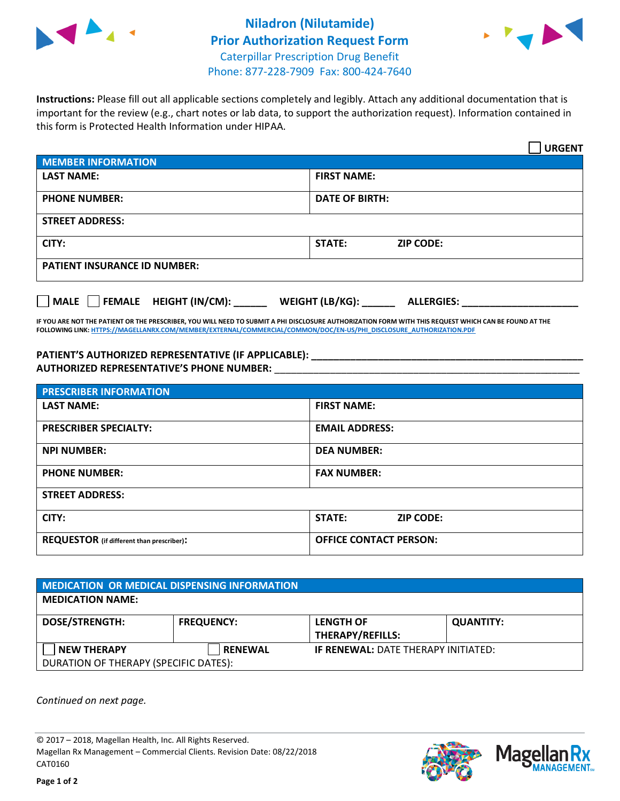



**Instructions:** Please fill out all applicable sections completely and legibly. Attach any additional documentation that is important for the review (e.g., chart notes or lab data, to support the authorization request). Information contained in this form is Protected Health Information under HIPAA.

|                                     |                                      | <b>URGENT</b> |
|-------------------------------------|--------------------------------------|---------------|
| <b>MEMBER INFORMATION</b>           |                                      |               |
| <b>LAST NAME:</b>                   | <b>FIRST NAME:</b>                   |               |
| <b>PHONE NUMBER:</b>                | <b>DATE OF BIRTH:</b>                |               |
| <b>STREET ADDRESS:</b>              |                                      |               |
| CITY:                               | <b>STATE:</b><br><b>ZIP CODE:</b>    |               |
| <b>PATIENT INSURANCE ID NUMBER:</b> |                                      |               |
| MALE FEMALE HEIGHT (IN/CM):         | WEIGHT (LB/KG):<br><b>ALLERGIES:</b> |               |

**IF YOU ARE NOT THE PATIENT OR THE PRESCRIBER, YOU WILL NEED TO SUBMIT A PHI DISCLOSURE AUTHORIZATION FORM WITH THIS REQUEST WHICH CAN BE FOUND AT THE FOLLOWING LINK[: HTTPS://MAGELLANRX.COM/MEMBER/EXTERNAL/COMMERCIAL/COMMON/DOC/EN-US/PHI\\_DISCLOSURE\\_AUTHORIZATION.PDF](https://magellanrx.com/member/external/commercial/common/doc/en-us/PHI_Disclosure_Authorization.pdf)**

**PATIENT'S AUTHORIZED REPRESENTATIVE (IF APPLICABLE): \_\_\_\_\_\_\_\_\_\_\_\_\_\_\_\_\_\_\_\_\_\_\_\_\_\_\_\_\_\_\_\_\_\_\_\_\_\_\_\_\_\_\_\_\_\_\_\_\_ AUTHORIZED REPRESENTATIVE'S PHONE NUMBER:** \_\_\_\_\_\_\_\_\_\_\_\_\_\_\_\_\_\_\_\_\_\_\_\_\_\_\_\_\_\_\_\_\_\_\_\_\_\_\_\_\_\_\_\_\_\_\_\_\_\_\_\_\_\_\_

| <b>PRESCRIBER INFORMATION</b>             |                               |  |  |  |
|-------------------------------------------|-------------------------------|--|--|--|
| <b>LAST NAME:</b>                         | <b>FIRST NAME:</b>            |  |  |  |
| <b>PRESCRIBER SPECIALTY:</b>              | <b>EMAIL ADDRESS:</b>         |  |  |  |
| <b>NPI NUMBER:</b>                        | <b>DEA NUMBER:</b>            |  |  |  |
| <b>PHONE NUMBER:</b>                      | <b>FAX NUMBER:</b>            |  |  |  |
| <b>STREET ADDRESS:</b>                    |                               |  |  |  |
| CITY:                                     | STATE:<br><b>ZIP CODE:</b>    |  |  |  |
| REQUESTOR (if different than prescriber): | <b>OFFICE CONTACT PERSON:</b> |  |  |  |

| <b>MEDICATION OR MEDICAL DISPENSING INFORMATION</b> |                   |                                            |                  |  |  |
|-----------------------------------------------------|-------------------|--------------------------------------------|------------------|--|--|
| <b>MEDICATION NAME:</b>                             |                   |                                            |                  |  |  |
| <b>DOSE/STRENGTH:</b>                               | <b>FREQUENCY:</b> | <b>LENGTH OF</b>                           | <b>QUANTITY:</b> |  |  |
|                                                     |                   | <b>THERAPY/REFILLS:</b>                    |                  |  |  |
| <b>NEW THERAPY</b>                                  | <b>RENEWAL</b>    | <b>IF RENEWAL: DATE THERAPY INITIATED:</b> |                  |  |  |
| DURATION OF THERAPY (SPECIFIC DATES):               |                   |                                            |                  |  |  |

*Continued on next page.*

© 2017 – 2018, Magellan Health, Inc. All Rights Reserved. Magellan Rx Management – Commercial Clients. Revision Date: 08/22/2018 CAT0160